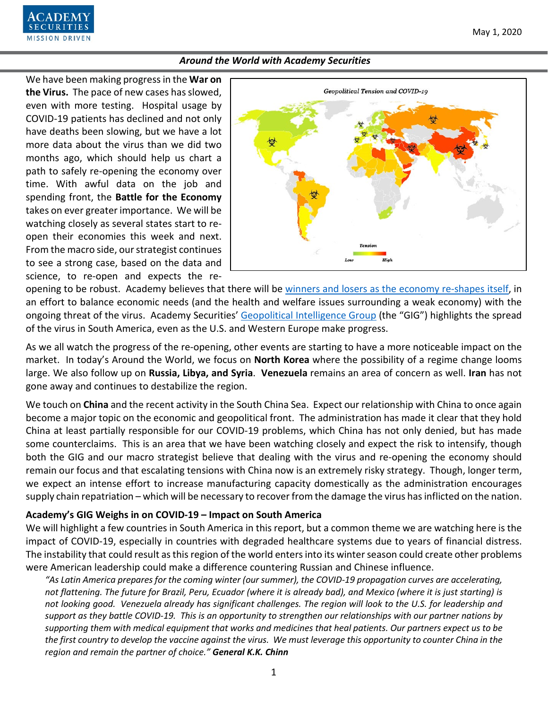We have been making progress in the **War on the Virus.** The pace of new cases has slowed, even with more testing. Hospital usage by COVID-19 patients has declined and not only have deaths been slowing, but we have a lot more data about the virus than we did two months ago, which should help us chart a path to safely re-opening the economy over time. With awful data on the job and spending front, the **Battle for the Economy** takes on ever greater importance. We will be watching closely as several states start to reopen their economies this week and next. From the macro side, our strategist continues to see a strong case, based on the data and science, to re-open and expects the re-

ECURITIES **MISSION DRIVEN** 



opening to be robust. Academy believes that there will be [winners and losers as the economy re-shapes itself,](https://www.academysecurities.com/wordpress/wp-content/uploads/2020/04/Reopening-Winners-Losers-and-Major-Themes.pdf) in an effort to balance economic needs (and the health and welfare issues surrounding a weak economy) with the ongoing threat of the virus. Academy Securities' [Geopolitical Intelligence Group](https://www.academysecurities.com/geopolitical/geopolitical-intelligence-group/) (the "GIG") highlights the spread of the virus in South America, even as the U.S. and Western Europe make progress.

As we all watch the progress of the re-opening, other events are starting to have a more noticeable impact on the market. In today's Around the World, we focus on **North Korea** where the possibility of a regime change looms large. We also follow up on **Russia, Libya, and Syria**. **Venezuela** remains an area of concern as well. **Iran** has not gone away and continues to destabilize the region.

We touch on **China** and the recent activity in the South China Sea. Expect our relationship with China to once again become a major topic on the economic and geopolitical front. The administration has made it clear that they hold China at least partially responsible for our COVID-19 problems, which China has not only denied, but has made some counterclaims. This is an area that we have been watching closely and expect the risk to intensify, though both the GIG and our macro strategist believe that dealing with the virus and re-opening the economy should remain our focus and that escalating tensions with China now is an extremely risky strategy. Though, longer term, we expect an intense effort to increase manufacturing capacity domestically as the administration encourages supply chain repatriation – which will be necessary to recover from the damage the virus has inflicted on the nation.

### **Academy's GIG Weighs in on COVID-19 – Impact on South America**

We will highlight a few countries in South America in this report, but a common theme we are watching here is the impact of COVID-19, especially in countries with degraded healthcare systems due to years of financial distress. The instability that could result as this region of the world enters into its winter season could create other problems were American leadership could make a difference countering Russian and Chinese influence.

*"As Latin America prepares for the coming winter (our summer), the COVID-19 propagation curves are accelerating, not flattening. The future for Brazil, Peru, Ecuador (where it is already bad), and Mexico (where it is just starting) is not looking good. Venezuela already has significant challenges. The region will look to the U.S. for leadership and support as they battle COVID-19. This is an opportunity to strengthen our relationships with our partner nations by supporting them with medical equipment that works and medicines that heal patients. Our partners expect us to be the first country to develop the vaccine against the virus. We must leverage this opportunity to counter China in the region and remain the partner of choice." General K.K. Chinn*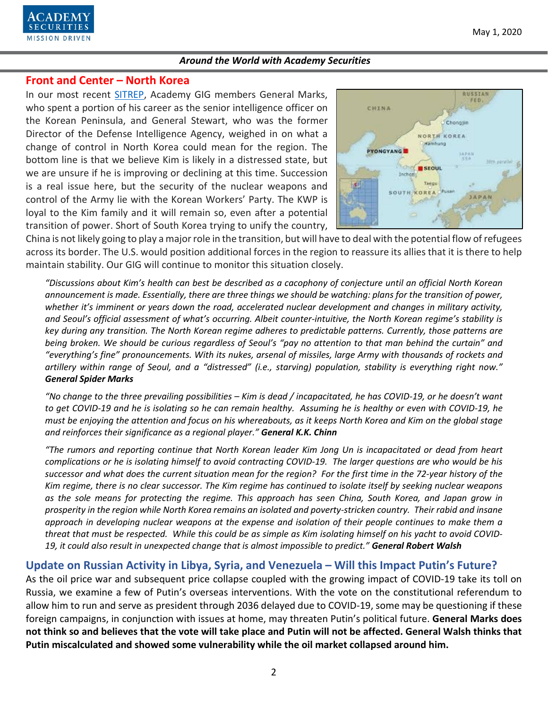

## **Front and Center – North Korea**

In our most recent [SITREP,](https://www.academysecurities.com/kim-jong-un-health-concerns-and-implications-for-north-korea/) Academy GIG members General Marks, who spent a portion of his career as the senior intelligence officer on the Korean Peninsula, and General Stewart, who was the former Director of the Defense Intelligence Agency, weighed in on what a change of control in North Korea could mean for the region. The bottom line is that we believe Kim is likely in a distressed state, but we are unsure if he is improving or declining at this time. Succession is a real issue here, but the security of the nuclear weapons and control of the Army lie with the Korean Workers' Party. The KWP is loyal to the Kim family and it will remain so, even after a potential transition of power. Short of South Korea trying to unify the country,



China is not likely going to play a major role in the transition, but will have to deal with the potential flow of refugees across its border. The U.S. would position additional forces in the region to reassure its allies that it is there to help maintain stability. Our GIG will continue to monitor this situation closely.

*"Discussions about Kim's health can best be described as a cacophony of conjecture until an official North Korean announcement is made. Essentially, there are three things we should be watching: plans for the transition of power, whether it's imminent or years down the road, accelerated nuclear development and changes in military activity, and Seoul's official assessment of what's occurring. Albeit counter-intuitive, the North Korean regime's stability is key during any transition. The North Korean regime adheres to predictable patterns. Currently, those patterns are being broken. We should be curious regardless of Seoul's "pay no attention to that man behind the curtain" and "everything's fine" pronouncements. With its nukes, arsenal of missiles, large Army with thousands of rockets and artillery within range of Seoul, and a "distressed" (i.e., starving) population, stability is everything right now." General Spider Marks*

*"No change to the three prevailing possibilities – Kim is dead / incapacitated, he has COVID-19, or he doesn't want to get COVID-19 and he is isolating so he can remain healthy. Assuming he is healthy or even with COVID-19, he must be enjoying the attention and focus on his whereabouts, as it keeps North Korea and Kim on the global stage and reinforces their significance as a regional player." General K.K. Chinn*

*"The rumors and reporting continue that North Korean leader Kim Jong Un is incapacitated or dead from heart complications or he is isolating himself to avoid contracting COVID-19. The larger questions are who would be his successor and what does the current situation mean for the region? For the first time in the 72-year history of the Kim regime, there is no clear successor. The Kim regime has continued to isolate itself by seeking nuclear weapons as the sole means for protecting the regime. This approach has seen China, South Korea, and Japan grow in prosperity in the region while North Korea remains an isolated and poverty-stricken country. Their rabid and insane approach in developing nuclear weapons at the expense and isolation of their people continues to make them a threat that must be respected. While this could be as simple as Kim isolating himself on his yacht to avoid COVID-19, it could also result in unexpected change that is almost impossible to predict." General Robert Walsh*

# **Update on Russian Activity in Libya, Syria, and Venezuela – Will this Impact Putin's Future?**

As the oil price war and subsequent price collapse coupled with the growing impact of COVID-19 take its toll on Russia, we examine a few of Putin's overseas interventions. With the vote on the constitutional referendum to allow him to run and serve as president through 2036 delayed due to COVID-19, some may be questioning if these foreign campaigns, in conjunction with issues at home, may threaten Putin's political future. **General Marks does not think so and believes that the vote will take place and Putin will not be affected. General Walsh thinks that Putin miscalculated and showed some vulnerability while the oil market collapsed around him.**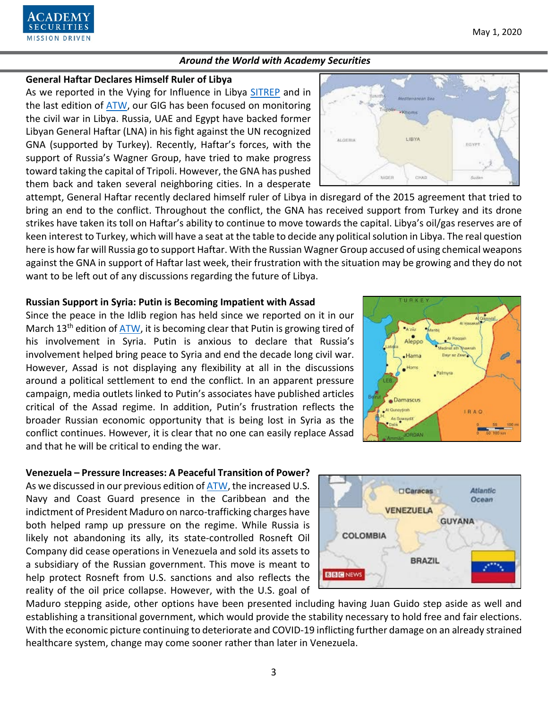#### **General Haftar Declares Himself Ruler of Libya**

**SECURITIES MISSION DRIVEN** 

As we reported in the Vying for Influence in Libya [SITREP](https://www.academysecurities.com/vying-for-influence-in-libya/) and in the last edition of [ATW,](https://www.academysecurities.com/wordpress/wp-content/uploads/2020/04/Around-the-World-with-Academy-Securities_4-15-20.pdf) our GIG has been focused on monitoring the civil war in Libya. Russia, UAE and Egypt have backed former Libyan General Haftar (LNA) in his fight against the UN recognized GNA (supported by Turkey). Recently, Haftar's forces, with the support of Russia's Wagner Group, have tried to make progress toward taking the capital of Tripoli. However, the GNA has pushed them back and taken several neighboring cities. In a desperate

attempt, General Haftar recently declared himself ruler of Libya in disregard of the 2015 agreement that tried to bring an end to the conflict. Throughout the conflict, the GNA has received support from Turkey and its drone strikes have taken its toll on Haftar's ability to continue to move towards the capital. Libya's oil/gas reserves are of keen interest to Turkey, which will have a seat at the table to decide any political solution in Libya. The real question here is how far will Russia go to support Haftar. With the Russian Wagner Group accused of using chemical weapons against the GNA in support of Haftar last week, their frustration with the situation may be growing and they do not want to be left out of any discussions regarding the future of Libya.

#### **Russian Support in Syria: Putin is Becoming Impatient with Assad**

Since the peace in the Idlib region has held since we reported on it in our March 13<sup>th</sup> edition of  $ATW$ , it is becoming clear that Putin is growing tired of his involvement in Syria. Putin is anxious to declare that Russia's involvement helped bring peace to Syria and end the decade long civil war. However, Assad is not displaying any flexibility at all in the discussions around a political settlement to end the conflict. In an apparent pressure campaign, media outlets linked to Putin's associates have published articles critical of the Assad regime. In addition, Putin's frustration reflects the broader Russian economic opportunity that is being lost in Syria as the conflict continues. However, it is clear that no one can easily replace Assad and that he will be critical to ending the war.

### **Venezuela – Pressure Increases: A Peaceful Transition of Power?**

As we discussed in our previous edition of [ATW,](https://www.academysecurities.com/wordpress/wp-content/uploads/2020/04/Around-the-World-with-Academy-Securities_4-15-20.pdf) the increased U.S. Navy and Coast Guard presence in the Caribbean and the indictment of President Maduro on narco-trafficking charges have both helped ramp up pressure on the regime. While Russia is likely not abandoning its ally, its state-controlled Rosneft Oil Company did cease operations in Venezuela and sold its assets to a subsidiary of the Russian government. This move is meant to help protect Rosneft from U.S. sanctions and also reflects the reality of the oil price collapse. However, with the U.S. goal of

Maduro stepping aside, other options have been presented including having Juan Guido step aside as well and establishing a transitional government, which would provide the stability necessary to hold free and fair elections. With the economic picture continuing to deteriorate and COVID-19 inflicting further damage on an already strained healthcare system, change may come sooner rather than later in Venezuela.

3



**COLOMBIA** 

**Caracas** 

**VENEZUELA** 



**Atlantic** 

Ocean

**GUYANA** 

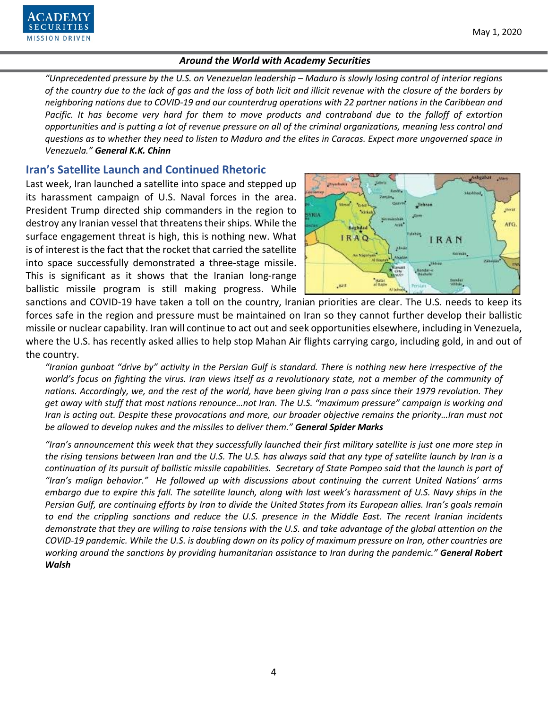

*"Unprecedented pressure by the U.S. on Venezuelan leadership – Maduro is slowly losing control of interior regions of the country due to the lack of gas and the loss of both licit and illicit revenue with the closure of the borders by neighboring nations due to COVID-19 and our counterdrug operations with 22 partner nations in the Caribbean and Pacific. It has become very hard for them to move products and contraband due to the falloff of extortion opportunities and is putting a lot of revenue pressure on all of the criminal organizations, meaning less control and questions as to whether they need to listen to Maduro and the elites in Caracas. Expect more ungoverned space in Venezuela." General K.K. Chinn*

# **Iran's Satellite Launch and Continued Rhetoric**

Last week, Iran launched a satellite into space and stepped up its harassment campaign of U.S. Naval forces in the area. President Trump directed ship commanders in the region to destroy any Iranian vessel that threatens their ships. While the surface engagement threat is high, this is nothing new. What is of interest is the fact that the rocket that carried the satellite into space successfully demonstrated a three-stage missile. This is significant as it shows that the Iranian long-range ballistic missile program is still making progress. While



sanctions and COVID-19 have taken a toll on the country, Iranian priorities are clear. The U.S. needs to keep its forces safe in the region and pressure must be maintained on Iran so they cannot further develop their ballistic missile or nuclear capability. Iran will continue to act out and seek opportunities elsewhere, including in Venezuela, where the U.S. has recently asked allies to help stop Mahan Air flights carrying cargo, including gold, in and out of the country.

*"Iranian gunboat "drive by" activity in the Persian Gulf is standard. There is nothing new here irrespective of the*  world's focus on fighting the virus. Iran views itself as a revolutionary state, not a member of the community of *nations. Accordingly, we, and the rest of the world, have been giving Iran a pass since their 1979 revolution. They get away with stuff that most nations renounce…not Iran. The U.S. "maximum pressure" campaign is working and Iran is acting out. Despite these provocations and more, our broader objective remains the priority...Iran must not be allowed to develop nukes and the missiles to deliver them." General Spider Marks*

*"Iran's announcement this week that they successfully launched their first military satellite is just one more step in the rising tensions between Iran and the U.S. The U.S. has always said that any type of satellite launch by Iran is a continuation of its pursuit of ballistic missile capabilities. Secretary of State Pompeo said that the launch is part of "Iran's malign behavior." He followed up with discussions about continuing the current United Nations' arms embargo due to expire this fall. The satellite launch, along with last week's harassment of U.S. Navy ships in the Persian Gulf, are continuing efforts by Iran to divide the United States from its European allies. Iran's goals remain to end the crippling sanctions and reduce the U.S. presence in the Middle East. The recent Iranian incidents demonstrate that they are willing to raise tensions with the U.S. and take advantage of the global attention on the COVID-19 pandemic. While the U.S. is doubling down on its policy of maximum pressure on Iran, other countries are working around the sanctions by providing humanitarian assistance to Iran during the pandemic." General Robert Walsh*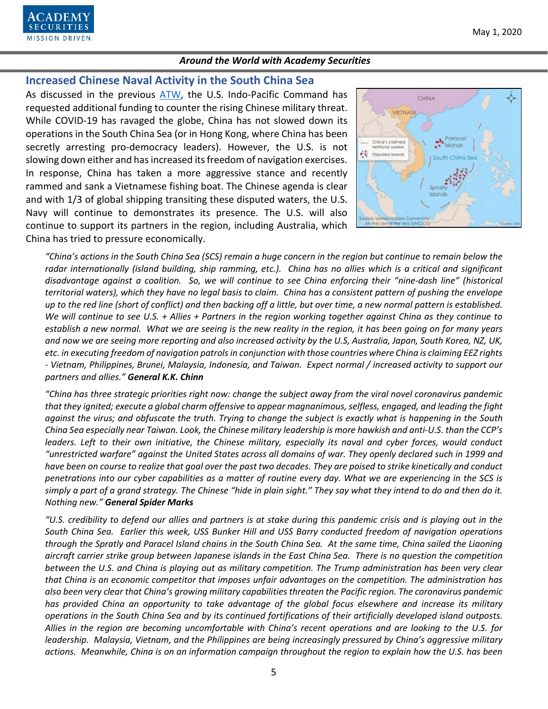

# **Increased Chinese Naval Activity in the South China Sea**

As discussed in the previous [ATW,](https://www.academysecurities.com/wordpress/wp-content/uploads/2020/04/Around-the-World-with-Academy-Securities_4-15-20.pdf) the U.S. Indo-Pacific Command has requested additional funding to counter the rising Chinese military threat. While COVID-19 has ravaged the globe, China has not slowed down its operations in the South China Sea (or in Hong Kong, where China has been secretly arresting pro-democracy leaders). However, the U.S. is not slowing down either and has increased its freedom of navigation exercises. In response, China has taken a more aggressive stance and recently rammed and sank a Vietnamese fishing boat. The Chinese agenda is clear and with 1/3 of global shipping transiting these disputed waters, the U.S. Navy will continue to demonstrates its presence. The U.S. will also continue to support its partners in the region, including Australia, which China has tried to pressure economically.



*"China's actions in the South China Sea (SCS) remain a huge concern in the region but continue to remain below the radar internationally (island building, ship ramming, etc.). China has no allies which is a critical and significant disadvantage against a coalition. So, we will continue to see China enforcing their "nine-dash line" (historical territorial waters), which they have no legal basis to claim. China has a consistent pattern of pushing the envelope up to the red line (short of conflict) and then backing off a little, but over time, a new normal pattern is established. We will continue to see U.S. + Allies + Partners in the region working together against China as they continue to establish a new normal. What we are seeing is the new reality in the region, it has been going on for many years and now we are seeing more reporting and also increased activity by the U.S, Australia, Japan, South Korea, NZ, UK, etc. in executing freedom of navigation patrols in conjunction with those countries where China is claiming EEZ rights - Vietnam, Philippines, Brunei, Malaysia, Indonesia, and Taiwan. Expect normal / increased activity to support our partners and allies." General K.K. Chinn*

*"China has three strategic priorities right now: change the subject away from the viral novel coronavirus pandemic that they ignited; execute a global charm offensive to appear magnanimous, selfless, engaged, and leading the fight against the virus; and obfuscate the truth. Trying to change the subject is exactly what is happening in the South China Sea especially near Taiwan. Look, the Chinese military leadership is more hawkish and anti-U.S. than the CCP's leaders. Left to their own initiative, the Chinese military, especially its naval and cyber forces, would conduct "unrestricted warfare" against the United States across all domains of war. They openly declared such in 1999 and have been on course to realize that goal over the past two decades. They are poised to strike kinetically and conduct penetrations into our cyber capabilities as a matter of routine every day. What we are experiencing in the SCS is simply a part of a grand strategy. The Chinese "hide in plain sight." They say what they intend to do and then do it. Nothing new." General Spider Marks* 

*"U.S. credibility to defend our allies and partners is at stake during this pandemic crisis and is playing out in the South China Sea. Earlier this week, USS Bunker Hill and USS Barry conducted freedom of navigation operations through the Spratly and Paracel Island chains in the South China Sea. At the same time, China sailed the Liaoning aircraft carrier strike group between Japanese islands in the East China Sea. There is no question the competition between the U.S. and China is playing out as military competition. The Trump administration has been very clear that China is an economic competitor that imposes unfair advantages on the competition. The administration has also been very clear that China's growing military capabilities threaten the Pacific region. The coronavirus pandemic has provided China an opportunity to take advantage of the global focus elsewhere and increase its military operations in the South China Sea and by its continued fortifications of their artificially developed island outposts. Allies in the region are becoming uncomfortable with China's recent operations and are looking to the U.S. for leadership. Malaysia, Vietnam, and the Philippines are being increasingly pressured by China's aggressive military actions. Meanwhile, China is on an information campaign throughout the region to explain how the U.S. has been*